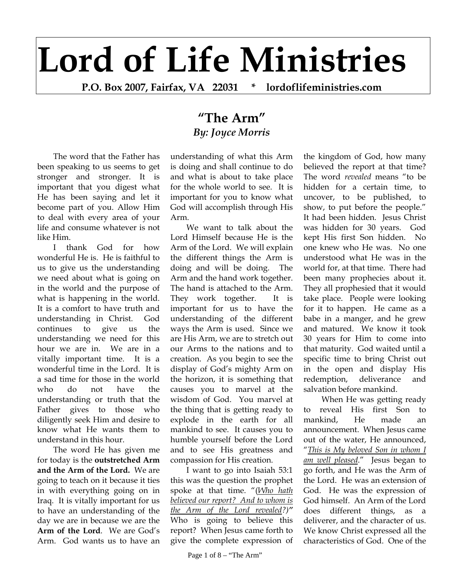## **Lord of Life Ministries**

**P.O. Box 2007, Fairfax, VA 22031 \* lordoflifeministries.com** 

## **"The Arm"** *By: Joyce Morris*

The word that the Father has been speaking to us seems to get stronger and stronger. It is important that you digest what He has been saying and let it become part of you. Allow Him to deal with every area of your life and consume whatever is not like Him.

I thank God for how wonderful He is. He is faithful to us to give us the understanding we need about what is going on in the world and the purpose of what is happening in the world. It is a comfort to have truth and understanding in Christ. God continues to give us the understanding we need for this hour we are in. We are in a vitally important time. It is a wonderful time in the Lord. It is a sad time for those in the world who do not have the understanding or truth that the Father gives to those who diligently seek Him and desire to know what He wants them to understand in this hour.

The word He has given me for today is the **outstretched Arm and the Arm of the Lord.** We are going to teach on it because it ties in with everything going on in Iraq. It is vitally important for us to have an understanding of the day we are in because we are the **Arm of the Lord**. We are God's Arm. God wants us to have an

understanding of what this Arm is doing and shall continue to do and what is about to take place for the whole world to see. It is important for you to know what God will accomplish through His Arm.

We want to talk about the Lord Himself because He is the Arm of the Lord. We will explain the different things the Arm is doing and will be doing. The Arm and the hand work together. The hand is attached to the Arm. They work together. It is important for us to have the understanding of the different ways the Arm is used. Since we are His Arm, we are to stretch out our Arms to the nations and to creation. As you begin to see the display of God's mighty Arm on the horizon, it is something that causes you to marvel at the wisdom of God. You marvel at the thing that is getting ready to explode in the earth for all mankind to see. It causes you to humble yourself before the Lord and to see His greatness and compassion for His creation.

I want to go into Isaiah 53:1 this was the question the prophet spoke at that time. "(*Who hath believed our report? And to whom is the Arm of the Lord revealed?)"* Who is going to believe this report? When Jesus came forth to give the complete expression of

the kingdom of God, how many believed the report at that time? The word *revealed* means "to be hidden for a certain time, to uncover, to be published, to show, to put before the people." It had been hidden. Jesus Christ was hidden for 30 years. God kept His first Son hidden. No one knew who He was. No one understood what He was in the world for, at that time. There had been many prophecies about it. They all prophesied that it would take place. People were looking for it to happen. He came as a babe in a manger, and he grew and matured. We know it took 30 years for Him to come into that maturity. God waited until a specific time to bring Christ out in the open and display His redemption, deliverance and salvation before mankind.

 When He was getting ready to reveal His first Son to mankind, He made an announcement. When Jesus came out of the water, He announced, "*This is My beloved Son in whom I am well pleased*." Jesus began to go forth, and He was the Arm of the Lord. He was an extension of God. He was the expression of God himself. An Arm of the Lord does different things, as a deliverer, and the character of us. We know Christ expressed all the characteristics of God. One of the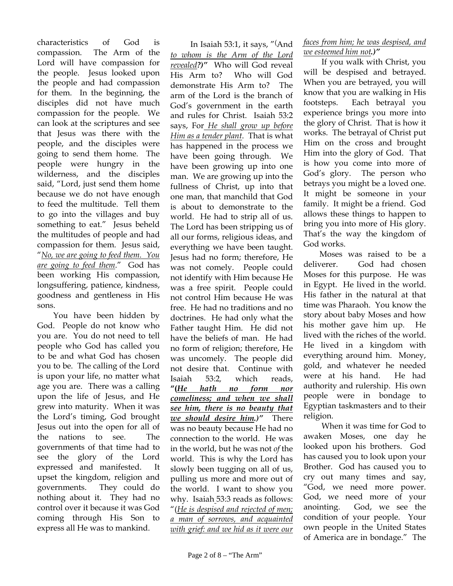characteristics of God is compassion. The Arm of the Lord will have compassion for the people. Jesus looked upon the people and had compassion for them. In the beginning, the disciples did not have much compassion for the people. We can look at the scriptures and see that Jesus was there with the people, and the disciples were going to send them home. The people were hungry in the wilderness, and the disciples said, "Lord, just send them home because we do not have enough to feed the multitude. Tell them to go into the villages and buy something to eat." Jesus beheld the multitudes of people and had compassion for them. Jesus said, "*No, we are going to feed them. You are going to feed them*." God has been working His compassion, longsuffering, patience, kindness, goodness and gentleness in His sons.

You have been hidden by God. People do not know who you are. You do not need to tell people who God has called you to be and what God has chosen you to be. The calling of the Lord is upon your life, no matter what age you are. There was a calling upon the life of Jesus, and He grew into maturity. When it was the Lord's timing, God brought Jesus out into the open for all of the nations to see. The governments of that time had to see the glory of the Lord expressed and manifested. It upset the kingdom, religion and governments. They could do nothing about it. They had no control over it because it was God coming through His Son to express all He was to mankind.

 In Isaiah 53:1, it says, "( And *to whom is the Arm of the Lord revealed?)"* Who will God reveal His Arm to? Who will God demonstrate His Arm to? The arm of the Lord is the branch of God's government in the earth and rules for Christ. Isaiah 53:2 says, For *He shall grow up before Him as a tender plant*. That is what has happened in the process we have been going through. We have been growing up into one man. We are growing up into the fullness of Christ, up into that one man, that manchild that God is about to demonstrate to the world. He had to strip all of us. The Lord has been stripping us of all our forms, religious ideas, and everything we have been taught. Jesus had no form; therefore, He was not comely. People could not identify with Him because He was a free spirit. People could not control Him because He was free. He had no traditions and no doctrines. He had only what the Father taught Him. He did not have the beliefs of man. He had no form of religion; therefore, He was uncomely. The people did not desire that. Continue with Isaiah 53:2*,* which reads, **"(** *He hath no form nor comeliness; and when we shall see him, there is no beauty that we should desire him.)"* There was no beauty because He had no connection to the world. He was in the world, but he was not *of* the world. This is why the Lord has slowly been tugging on all of us, pulling us more and more out of the world. I want to show you why. Isaiah 53:3 reads as follows: "(*He is despised and rejected of men; a man of sorrows, and acquainted with grief: and we hid as it were our* 

## *faces from him; he was despised, and we esteemed him not.)"*

 If you walk with Christ, you will be despised and betrayed. When you are betrayed, you will know that you are walking in His footsteps. Each betrayal you experience brings you more into the glory of Christ. That is how it works. The betrayal of Christ put Him on the cross and brought Him into the glory of God. That is how you come into more of God's glory. The person who betrays you might be a loved one. It might be someone in your family. It might be a friend. God allows these things to happen to bring you into more of His glory. That's the way the kingdom of God works.

 were at his hand. He had Moses was raised to be a deliverer. God had chosen Moses for this purpose. He was in Egypt. He lived in the world. His father in the natural at that time was Pharaoh. You know the story about baby Moses and how his mother gave him up. He lived with the riches of the world. He lived in a kingdom with everything around him. Money, gold, and whatever he needed authority and rulership. His own people were in bondage to Egyptian taskmasters and to their religion.

 When it was time for God to awaken Moses, one day he looked upon his brothers. God has caused you to look upon your Brother. God has caused you to cry out many times and say, "God, we need more power. God, we need more of your anointing. God, we see the condition of your people. Your own people in the United States of America are in bondage." The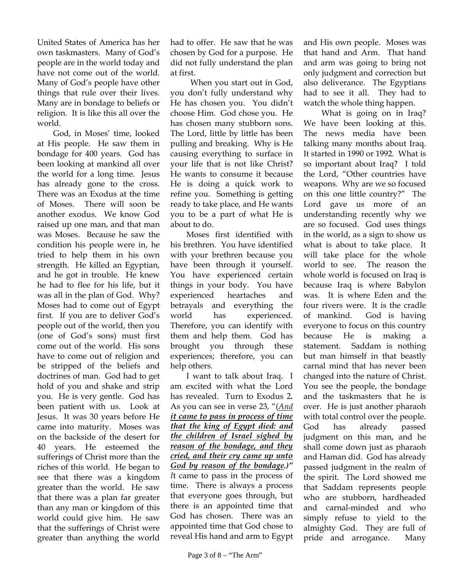United States of America has her own taskmasters. Many of God's people are in the world today and have not come out of the world. Many of God's people have other things that rule over their lives. Many are in bondage to beliefs or religion. It is like this all over the world.

God, in Moses' time, looked at His people. He saw them in bondage for 400 years. God has been looking at mankind all over the world for a long time. Jesus has already gone to the cross. There was an Exodus at the time of Moses. There will soon be another exodus. We know God raised up one man, and that man was Moses. Because he saw the condition his people were in, he tried to help them in his own strength. He killed an Egyptian, and he got in trouble. He knew he had to flee for his life, but it was all in the plan of God. Why? Moses had to come out of Egypt first. If you are to deliver God's people out of the world, then you (one of God's sons) must first come out of the world. His sons have to come out of religion and be stripped of the beliefs and doctrines of man. God had to get hold of you and shake and strip you. He is very gentle. God has been patient with us. Look at Jesus. It was 30 years before He came into maturity. Moses was on the backside of the desert for 40 years. He esteemed the sufferings of Christ more than the riches of this world. He began to see that there was a kingdom greater than the world. He saw that there was a plan far greater than any man or kingdom of this world could give him. He saw that the sufferings of Christ were greater than anything the world

had to offer. He saw that he was chosen by God for a purpose. He did not fully understand the plan at first.

 When you start out in God, you don't fully understand why He has chosen you. You didn't choose Him. God chose you. He has chosen many stubborn sons. The Lord, little by little has been pulling and breaking. Why is He causing everything to surface in your life that is not like Christ? He wants to consume it because He is doing a quick work to refine you. Something is getting ready to take place, and He wants you to be a part of what He is about to do.

Moses first identified with his brethren. You have identified with your brethren because you have been through it yourself. You have experienced certain things in your body. You have experienced heartaches and betrayals and everything the world has experienced. Therefore, you can identify with them and help them. God has brought you through these experiences; therefore, you can help others.

I want to talk about Iraq. I am excited with what the Lord has revealed. Turn to Exodus 2*.* As you can see in verse 23, "(*And it came to pass in process of time that the king of Egypt died: and the children of Israel sighed by reason of the bondage, and they cried, and their cry came up unto God by reason of the bondage.)" I*t came to pass in the process of time. There is always a process that everyone goes through, but there is an appointed time that God has chosen. There was an appointed time that God chose to reveal His hand and arm to Egypt

and His own people. Moses was that hand and Arm. That hand and arm was going to bring not only judgment and correction but also deliverance. The Egyptians had to see it all. They had to watch the whole thing happen.

 What is going on in Iraq? We have been looking at this. The news media have been talking many months about Iraq. It started in 1990 or 1992. What is so important about Iraq? I told the Lord, "Other countries have weapons. Why are we so focused on this one little country?" The Lord gave us more of an understanding recently why we are so focused. God uses things in the world, as a sign to show us what is about to take place. It will take place for the whole world to see. The reason the whole world is focused on Iraq is because Iraq is where Babylon was. It is where Eden and the four rivers were. It is the cradle of mankind. God is having everyone to focus on this country because He is making a statement. Saddam is nothing but man himself in that beastly carnal mind that has never been changed into the nature of Christ. You see the people, the bondage and the taskmasters that he is over. He is just another pharaoh with total control over the people. God has already passed judgment on this man, and he shall come down just as pharaoh and Haman did. God has already passed judgment in the realm of the spirit. The Lord showed me that Saddam represents people who are stubborn, hardheaded and carnal-minded and who simply refuse to yield to the almighty God. They are full of pride and arrogance. Many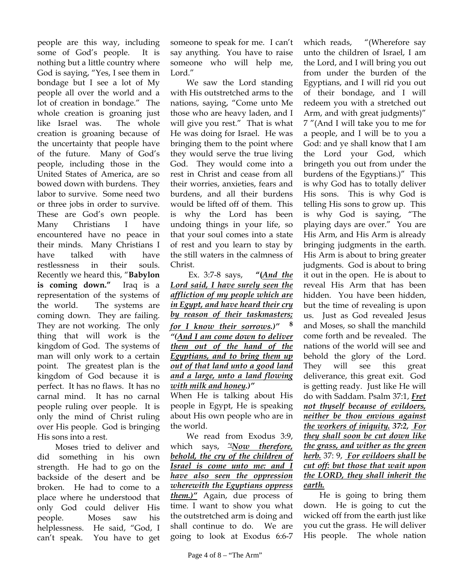people are this way, including some of God's people. It is nothing but a little country where God is saying, "Yes, I see them in bondage but I see a lot of My people all over the world and a lot of creation in bondage." The whole creation is groaning just like Israel was. The whole creation is groaning because of the uncertainty that people have of the future. Many of God's people, including those in the United States of America, are so bowed down with burdens. They labor to survive. Some need two or three jobs in order to survive. These are God's own people. Many Christians I have encountered have no peace in their minds. Many Christians I have talked with have restlessness in their souls. Recently we heard this, "**Babylon is coming down."** Iraq is a representation of the systems of the world. The systems are coming down. They are failing. They are not working. The only thing that will work is the kingdom of God. The systems of man will only work to a certain point. The greatest plan is the kingdom of God because it is perfect. It has no flaws. It has no carnal mind. It has no carnal people ruling over people. It is only the mind of Christ ruling over His people. God is bringing His sons into a rest.

 Moses tried to deliver and did something in his own strength. He had to go on the backside of the desert and be broken. He had to come to a place where he understood that only God could deliver His people. Moses saw his helplessness. He said, "God, I can't speak. You have to get

someone to speak for me. I can't say anything. You have to raise someone who will help me, Lord."

We saw the Lord standing with His outstretched arms to the nations, saying, "Come unto Me those who are heavy laden, and I will give you rest." That is what He was doing for Israel. He was bringing them to the point where they would serve the true living God. They would come into a rest in Christ and cease from all their worries, anxieties, fears and burdens, and all their burdens would be lifted off of them. This is why the Lord has been undoing things in your life, so that your soul comes into a state of rest and you learn to stay by the still waters in the calmness of Christ.

 Ex. 3:7-8 says, **"(***And the Lord said, I have surely seen the affliction of my people which are in Egypt, and have heard their cry by reason of their taskmasters; for I know their sorrows.)"* **<sup>8</sup>** *"(And I am come down to deliver them out of the hand of the Egyptians, and to bring them up out of that land unto a good land and a large, unto a land flowing with milk and honey.)"* 

When He is talking about His people in Egypt, He is speaking about His own people who are in the world.

We read from Exodus 3:9, which says, *"(Now therefore, behold, the cry of the children of Israel is come unto me: and I have also seen the oppression wherewith the Egyptians oppress them.)"* Again, due process of time. I want to show you what the outstretched arm is doing and shall continue to do. We are going to look at Exodus 6:6-7

which reads, "(Wherefore say unto the children of Israel, I am the Lord, and I will bring you out from under the burden of the Egyptians, and I will rid you out of their bondage, and I will redeem you with a stretched out Arm, and with great judgments)" 7 "(And I will take you to me for a people, and I will be to you a God: and ye shall know that I am the Lord your God, which bringeth you out from under the burdens of the Egyptians.)" This is why God has to totally deliver His sons. This is why God is telling His sons to grow up. This is why God is saying, "The playing days are over." You are His Arm, and His Arm is already bringing judgments in the earth. His Arm is about to bring greater judgments. God is about to bring it out in the open. He is about to reveal His Arm that has been hidden. You have been hidden, but the time of revealing is upon us. Just as God revealed Jesus and Moses, so shall the manchild come forth and be revealed. The nations of the world will see and behold the glory of the Lord. They will see this great deliverance, this great exit. God is getting ready. Just like He will do with Saddam. Psalm 37:1, *Fret not thyself because of evildoers, neither be thou envious against the workers of iniquity. 37:2, For they shall soon be cut down like the grass, and wither as the green herb.* 37: 9, *For evildoers shall be cut off: but those that wait upon the LORD, they shall inherit the earth.* 

He is going to bring them down. He is going to cut the wicked off from the earth just like you cut the grass. He will deliver His people. The whole nation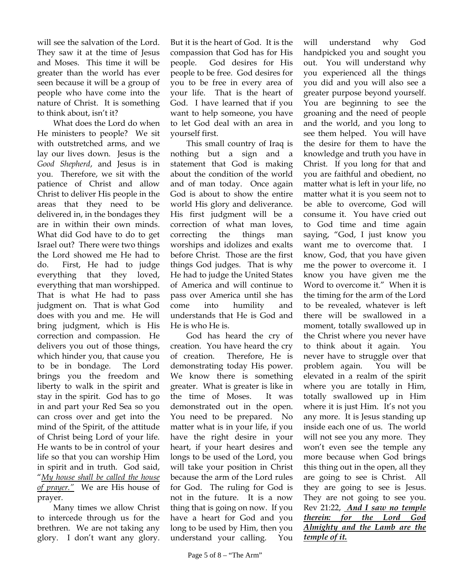will see the salvation of the Lord. They saw it at the time of Jesus and Moses. This time it will be greater than the world has ever seen because it will be a group of people who have come into the nature of Christ. It is something to think about, isn't it?

What does the Lord do when He ministers to people? We sit with outstretched arms, and we lay our lives down. Jesus is the *Good Shepherd*, and Jesus is in you. Therefore, we sit with the patience of Christ and allow Christ to deliver His people in the areas that they need to be delivered in, in the bondages they are in within their own minds. What did God have to do to get Israel out? There were two things the Lord showed me He had to do. First, He had to judge everything that they loved, everything that man worshipped. That is what He had to pass judgment on. That is what God does with you and me. He will bring judgment, which is His correction and compassion. He delivers you out of those things, which hinder you, that cause you to be in bondage. The Lord brings you the freedom and liberty to walk in the spirit and stay in the spirit. God has to go in and part your Red Sea so you can cross over and get into the mind of the Spirit, of the attitude of Christ being Lord of your life. He wants to be in control of your life so that you can worship Him in spirit and in truth. God said, "*My house shall be called the house of prayer."* We are His house of prayer.

Many times we allow Christ to intercede through us for the brethren. We are not taking any glory. I don't want any glory.

But it is the heart of God. It is the compassion that God has for His people. God desires for His people to be free. God desires for you to be free in every area of your life. That is the heart of God. I have learned that if you want to help someone, you have to let God deal with an area in yourself first.

This small country of Iraq is nothing but a sign and a statement that God is making about the condition of the world and of man today. Once again God is about to show the entire world His glory and deliverance. His first judgment will be a correction of what man loves, correcting the things man worships and idolizes and exalts before Christ. Those are the first things God judges. That is why He had to judge the United States of America and will continue to pass over America until she has come into humility and understands that He is God and He is who He is.

God has heard the cry of creation. You have heard the cry of creation. Therefore, He is demonstrating today His power. We know there is something greater. What is greater is like in the time of Moses. It was demonstrated out in the open. You need to be prepared. No matter what is in your life, if you have the right desire in your heart, if your heart desires and longs to be used of the Lord, you will take your position in Christ because the arm of the Lord rules for God. The ruling for God is not in the future. It is a now thing that is going on now. If you have a heart for God and you long to be used by Him, then you understand your calling. You

to think about it again. You never have to struggle over that problem again. You will be elevated in a realm of the spirit where you are totally in Him, totally swallowed up in Him where it is just Him. It's not you any more. It is Jesus standing up inside each one of us. The world will not see you any more. They won't even see the temple any more because when God brings this thing out in the open, all they are going to see is Christ. All they are going to see is Jesus. They are not going to see you. Rev 21:22, *And I saw no temple therein: for the Lord God Almighty and the Lamb are the temple of it.*

will understand why God handpicked you and sought you out. You will understand why you experienced all the things you did and you will also see a greater purpose beyond yourself. You are beginning to see the groaning and the need of people and the world, and you long to see them helped. You will have the desire for them to have the knowledge and truth you have in Christ. If you long for that and you are faithful and obedient, no matter what is left in your life, no matter what it is you seem not to be able to overcome, God will consume it. You have cried out to God time and time again saying, "God, I just know you want me to overcome that. I know, God, that you have given me the power to overcome it. I know you have given me the Word to overcome it." When it is the timing for the arm of the Lord to be revealed, whatever is left there will be swallowed in a moment, totally swallowed up in the Christ where you never have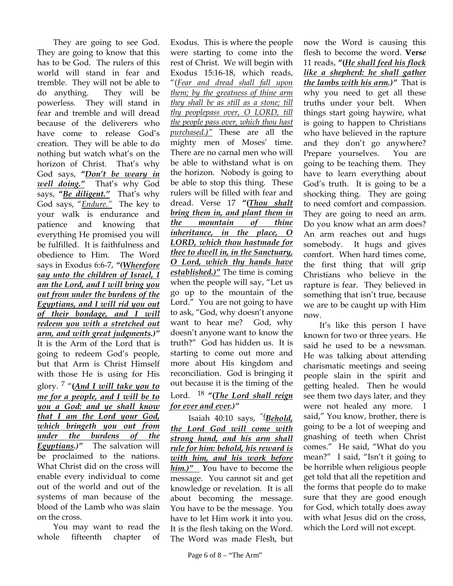They are going to see God. They are going to know that this has to be God. The rulers of this world will stand in fear and tremble. They will not be able to do anything. They will be powerless. They will stand in fear and tremble and will dread because of the deliverers who have come to release God's creation. They will be able to do nothing but watch what's on the horizon of Christ. That's why God says, **"***Don't be weary in well doing."* That's why God says, **"***Be diligent."* That's why God says, "*Endure."* The key to your walk is endurance and patience and knowing that everything He promised you will be fulfilled. It is faithfulness and obedience to Him. The Word says in Exodus 6:6-7, *"(Wherefore say unto the children of Israel, I am the Lord, and I will bring you out from under the burdens of the Egyptians, and I will rid you out of their bondage, and I will redeem you with a stretched out arm, and with great judgments.)"* It is the Arm of the Lord that is going to redeem God's people, but that Arm is Christ Himself with those He is using for His glory. 7 "**(***And I will take you to me for a people, and I will be to you a God: and ye shall know that I am the Lord your God, which bringeth you out from under the burdens of the Egyptians.)"*The salvation will be proclaimed to the nations. What Christ did on the cross will enable every individual to come out of the world and out of the systems of man because of the blood of the Lamb who was slain on the cross.

You may want to read the whole fifteenth chapter of

Exodus. This is where the people were starting to come into the rest of Christ. We will begin with Exodus 15:16-18, which reads, "(*Fear and dread shall fall upon them; by the greatness of thine arm they shall be as still as a stone; till thy peoplepass over, O LORD, till the people pass over, which thou hast purchased.)"* These are all the mighty men of Moses' time. There are no carnal men who will be able to withstand what is on the horizon. Nobody is going to be able to stop this thing. These rulers will be filled with fear and dread. Verse 17 "(Thou shalt *bring them in, and plant them in the mountain of thine inheritance, in the place, O LORD, which thou hastmade for thee to dwell in, in the Sanctuary, O Lord, which thy hands have established.)"* The time is coming when the people will say, "Let us go up to the mountain of the Lord." You are not going to have to ask, "God, why doesn't anyone want to hear me? God, why doesn't anyone want to know the truth?" God has hidden us. It is starting to come out more and more about His kingdom and reconciliation. God is bringing it out because it is the timing of the Lord. <sup>18</sup> **"(***The Lord shall reign for ever and ever.)"* 

 Isaiah 40:10 says, "*( Behold, the Lord God will come with strong hand, and his arm shall rule for him: behold, his reward is with him, and his work before him.)" Y*ou have to become the message. You cannot sit and get knowledge or revelation. It is all about becoming the message. You have to be the message. You have to let Him work it into you. It is the flesh taking on the Word. The Word was made Flesh, but

now the Word is causing this flesh to become the word. **Vers***e*  11 reads, **"(***He shall feed his flock like a shepherd: he shall gather the lambs with his arm.)"* That is why you need to get all these truths under your belt. When things start going haywire, what is going to happen to Christians who have believed in the rapture and they don't go anywhere? Prepare yourselves. You are going to be teaching them. They have to learn everything about God's truth. It is going to be a shocking thing. They are going to need comfort and compassion. They are going to need an arm. Do you know what an arm does? An arm reaches out and hugs somebody. It hugs and gives comfort. When hard times come, the first thing that will grip Christians who believe in the rapture is fear. They believed in something that isn't true, because we are to be caught up with Him now.

It's like this person I have known for two or three years. He said he used to be a newsman. He was talking about attending charismatic meetings and seeing people slain in the spirit and getting healed. Then he would see them two days later, and they were not healed any more. I said," You know, brother, there is going to be a lot of weeping and gnashing of teeth when Christ comes." He said, "What do you mean?" I said, "Isn't it going to be horrible when religious people get told that all the repetition and the forms that people do to make sure that they are good enough for God, which totally does away with what Jesus did on the cross, which the Lord will not except.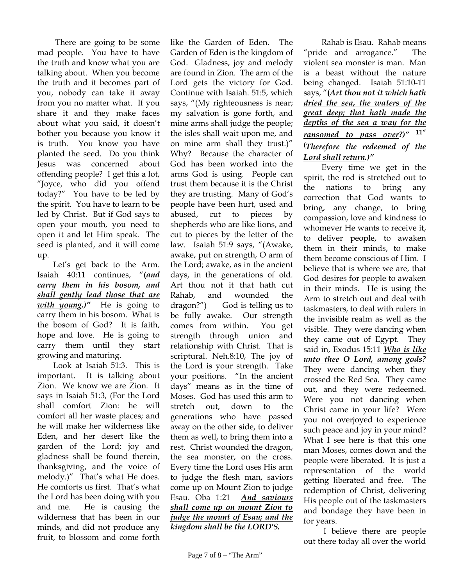There are going to be some mad people. You have to have the truth and know what you are talking about. When you become the truth and it becomes part of you, nobody can take it away from you no matter what. If you share it and they make faces about what you said, it doesn't bother you because you know it is truth. You know you have planted the seed. Do you think Jesus was concerned about offending people? I get this a lot, "Joyce, who did you offend today?" You have to be led by the spirit. You have to learn to be led by Christ. But if God says to open your mouth, you need to open it and let Him speak. The seed is planted, and it will come up.

Let's get back to the Arm. Isaiah 40:11 continues, "**(***and carry them in his bosom, and shall gently lead those that are with young.)"* He is going to carry them in his bosom. What is the bosom of God? It is faith, hope and love. He is going to carry them until they start growing and maturing.

Look at Isaiah 51:3. This is important. It is talking about Zion. We know we are Zion. It says in Isaiah 51:3, (For the Lord shall comfort Zion: he will comfort all her waste places; and he will make her wilderness like Eden, and her desert like the garden of the Lord; joy and gladness shall be found therein, thanksgiving, and the voice of melody.)" That's what He does. He comforts us first. That's what the Lord has been doing with you and me. He is causing the wilderness that has been in our minds, and did not produce any fruit, to blossom and come forth

like the Garden of Eden. The Garden of Eden is the kingdom of God. Gladness, joy and melody are found in Zion. The arm of the Lord gets the victory for God. Continue with Isaiah. 51:5, which says, "(My righteousness is near; my salvation is gone forth, and mine arms shall judge the people; the isles shall wait upon me, and on mine arm shall they trust.)" Why? Because the character of God has been worked into the arms God is using. People can trust them because it is the Christ they are trusting. Many of God's people have been hurt, used and abused, cut to pieces by shepherds who are like lions, and cut to pieces by the letter of the law. Isaiah 51:9 says, "(Awake, awake, put on strength, O arm of the Lord; awake, as in the ancient days, in the generations of old. Art thou not it that hath cut Rahab, and wounded the dragon?") God is telling us to be fully awake. Our strength comes from within. You get strength through union and relationship with Christ. That is scriptural. Neh.8:10, The joy of the Lord is your strength. Take your positions. "In the ancient days" means as in the time of Moses. God has used this arm to stretch out, down to the generations who have passed away on the other side, to deliver them as well, to bring them into a rest. Christ wounded the dragon, the sea monster, on the cross. Every time the Lord uses His arm to judge the flesh man, saviors come up on Mount Zion to judge Esau. Oba 1:21 *And saviours shall come up on mount Zion to judge the mount of Esau; and the kingdom shall be the LORD'S.*

 Rahab is Esau. Rahab means "pride and arrogance." The violent sea monster is man. Man is a beast without the nature being changed. Isaiah 51:10-11 says, "**(***Art thou not it which hath dried the sea, the waters of the great deep; that hath made the depths of the sea a way for the ransomed to pass over?)"* **11" (** *Therefore the redeemed of the Lord shall return.)"* 

 Every time we get in the spirit, the rod is stretched out to the nations to bring any correction that God wants to bring, any change, to bring compassion, love and kindness to whomever He wants to receive it, to deliver people, to awaken them in their minds, to make them become conscious of Him. I believe that is where we are, that God desires for people to awaken in their minds. He is using the Arm to stretch out and deal with taskmasters, to deal with rulers in the invisible realm as well as the visible. They were dancing when they came out of Egypt. They said in, Exodus 15:11 *Who is like unto thee O Lord, among gods?* They were dancing when they crossed the Red Sea. They came out, and they were redeemed. Were you not dancing when Christ came in your life? Were you not overjoyed to experience such peace and joy in your mind? What I see here is that this one man Moses, comes down and the people were liberated. It is just a representation of the world getting liberated and free. The redemption of Christ, delivering His people out of the taskmasters and bondage they have been in for years.

 I believe there are people out there today all over the world